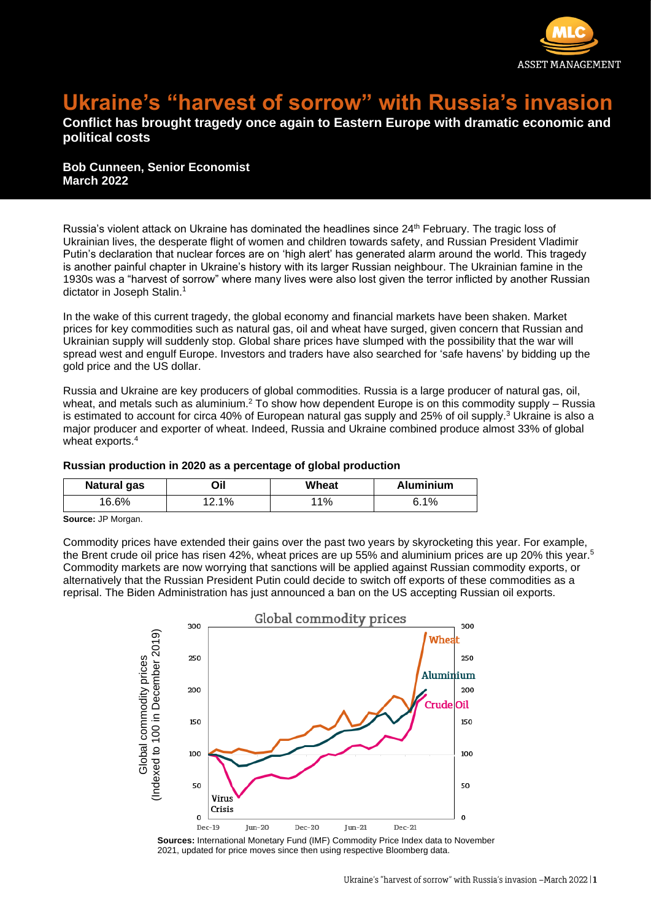

## **Ukraine's "harvest of sorrow" with Russia's invasion**

## **Conflict has brought tragedy once again to Eastern Europe with dramatic economic and political costs**

**Bob Cunneen, Senior Economist March 2022**

Russia's violent attack on Ukraine has dominated the headlines since 24<sup>th</sup> February. The tragic loss of Ukrainian lives, the desperate flight of women and children towards safety, and Russian President Vladimir Putin's declaration that nuclear forces are on 'high alert' has generated alarm around the world. This tragedy is another painful chapter in Ukraine's history with its larger Russian neighbour. The Ukrainian famine in the 1930s was a "harvest of sorrow" where many lives were also lost given the terror inflicted by another Russian dictator in Joseph Stalin.<sup>1</sup>

In the wake of this current tragedy, the global economy and financial markets have been shaken. Market prices for key commodities such as natural gas, oil and wheat have surged, given concern that Russian and Ukrainian supply will suddenly stop. Global share prices have slumped with the possibility that the war will spread west and engulf Europe. Investors and traders have also searched for 'safe havens' by bidding up the gold price and the US dollar.

Russia and Ukraine are key producers of global commodities. Russia is a large producer of natural gas, oil, wheat, and metals such as aluminium.<sup>2</sup> To show how dependent Europe is on this commodity supply – Russia is estimated to account for circa 40% of European natural gas supply and 25% of oil supply.<sup>3</sup> Ukraine is also a major producer and exporter of wheat. Indeed, Russia and Ukraine combined produce almost 33% of global wheat exports.<sup>4</sup>

## **Russian production in 2020 as a percentage of global production**

| <b>Natural gas</b> | Dil   | Wheat  | <b>Aluminium</b> |
|--------------------|-------|--------|------------------|
| 16.6%              | 12.1% | $11\%$ | 6.1%             |

**Source:** JP Morgan.

Commodity prices have extended their gains over the past two years by skyrocketing this year. For example, the Brent crude oil price has risen 42%, wheat prices are up 55% and aluminium prices are up 20% this year.<sup>5</sup> Commodity markets are now worrying that sanctions will be applied against Russian commodity exports, or alternatively that the Russian President Putin could decide to switch off exports of these commodities as a reprisal. The Biden Administration has just announced a ban on the US accepting Russian oil exports.



**Sources:** International Monetary Fund (IMF) Commodity Price Index data to November 2021, updated for price moves since then using respective Bloomberg data.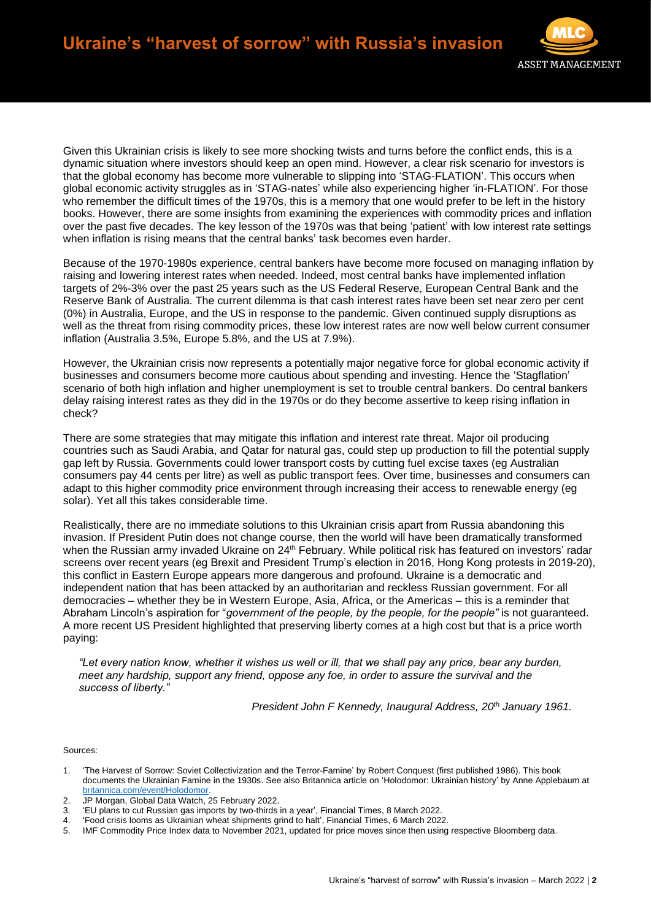

Given this Ukrainian crisis is likely to see more shocking twists and turns before the conflict ends, this is a dynamic situation where investors should keep an open mind. However, a clear risk scenario for investors is that the global economy has become more vulnerable to slipping into 'STAG-FLATION'. This occurs when global economic activity struggles as in 'STAG-nates' while also experiencing higher 'in-FLATION'. For those who remember the difficult times of the 1970s, this is a memory that one would prefer to be left in the history books. However, there are some insights from examining the experiences with commodity prices and inflation over the past five decades. The key lesson of the 1970s was that being 'patient' with low interest rate settings when inflation is rising means that the central banks' task becomes even harder.

Because of the 1970-1980s experience, central bankers have become more focused on managing inflation by raising and lowering interest rates when needed. Indeed, most central banks have implemented inflation targets of 2%-3% over the past 25 years such as the US Federal Reserve, European Central Bank and the Reserve Bank of Australia. The current dilemma is that cash interest rates have been set near zero per cent (0%) in Australia, Europe, and the US in response to the pandemic. Given continued supply disruptions as well as the threat from rising commodity prices, these low interest rates are now well below current consumer inflation (Australia 3.5%, Europe 5.8%, and the US at 7.9%).

However, the Ukrainian crisis now represents a potentially major negative force for global economic activity if businesses and consumers become more cautious about spending and investing. Hence the 'Stagflation' scenario of both high inflation and higher unemployment is set to trouble central bankers. Do central bankers delay raising interest rates as they did in the 1970s or do they become assertive to keep rising inflation in check?

There are some strategies that may mitigate this inflation and interest rate threat. Major oil producing countries such as Saudi Arabia, and Qatar for natural gas, could step up production to fill the potential supply gap left by Russia. Governments could lower transport costs by cutting fuel excise taxes (eg Australian consumers pay 44 cents per litre) as well as public transport fees. Over time, businesses and consumers can adapt to this higher commodity price environment through increasing their access to renewable energy (eg solar). Yet all this takes considerable time.

Realistically, there are no immediate solutions to this Ukrainian crisis apart from Russia abandoning this invasion. If President Putin does not change course, then the world will have been dramatically transformed when the Russian army invaded Ukraine on 24<sup>th</sup> February. While political risk has featured on investors' radar screens over recent years (eg Brexit and President Trump's election in 2016, Hong Kong protests in 2019-20), this conflict in Eastern Europe appears more dangerous and profound. Ukraine is a democratic and independent nation that has been attacked by an authoritarian and reckless Russian government. For all democracies – whether they be in Western Europe, Asia, Africa, or the Americas – this is a reminder that Abraham Lincoln's aspiration for "*government of the people, by the people, for the people"* is not guaranteed. A more recent US President highlighted that preserving liberty comes at a high cost but that is a price worth paying:

*"Let every nation know, whether it wishes us well or ill, that we shall pay any price, bear any burden, meet any hardship, support any friend, oppose any foe, in order to assure the survival and the success of liberty."*

*President John F Kennedy, Inaugural Address, 20th January 1961.*

Sources:

- 1. 'The Harvest of Sorrow: Soviet Collectivization and the Terror-Famine' by Robert Conquest (first published 1986). This book documents the Ukrainian Famine in the 1930s. See also Britannica article on 'Holodomor: Ukrainian history' by Anne Applebaum at [britannica.com/event/Holodomor.](https://www.britannica.com/event/Holodomor)
- 2. JP Morgan, Global Data Watch, 25 February 2022.
- 3. 'EU plans to cut Russian gas imports by two-thirds in a year', Financial Times, 8 March 2022.
- 4. 'Food crisis looms as Ukrainian wheat shipments grind to halt', Financial Times, 6 March 2022.

<sup>5.</sup> IMF Commodity Price Index data to November 2021, updated for price moves since then using respective Bloomberg data.